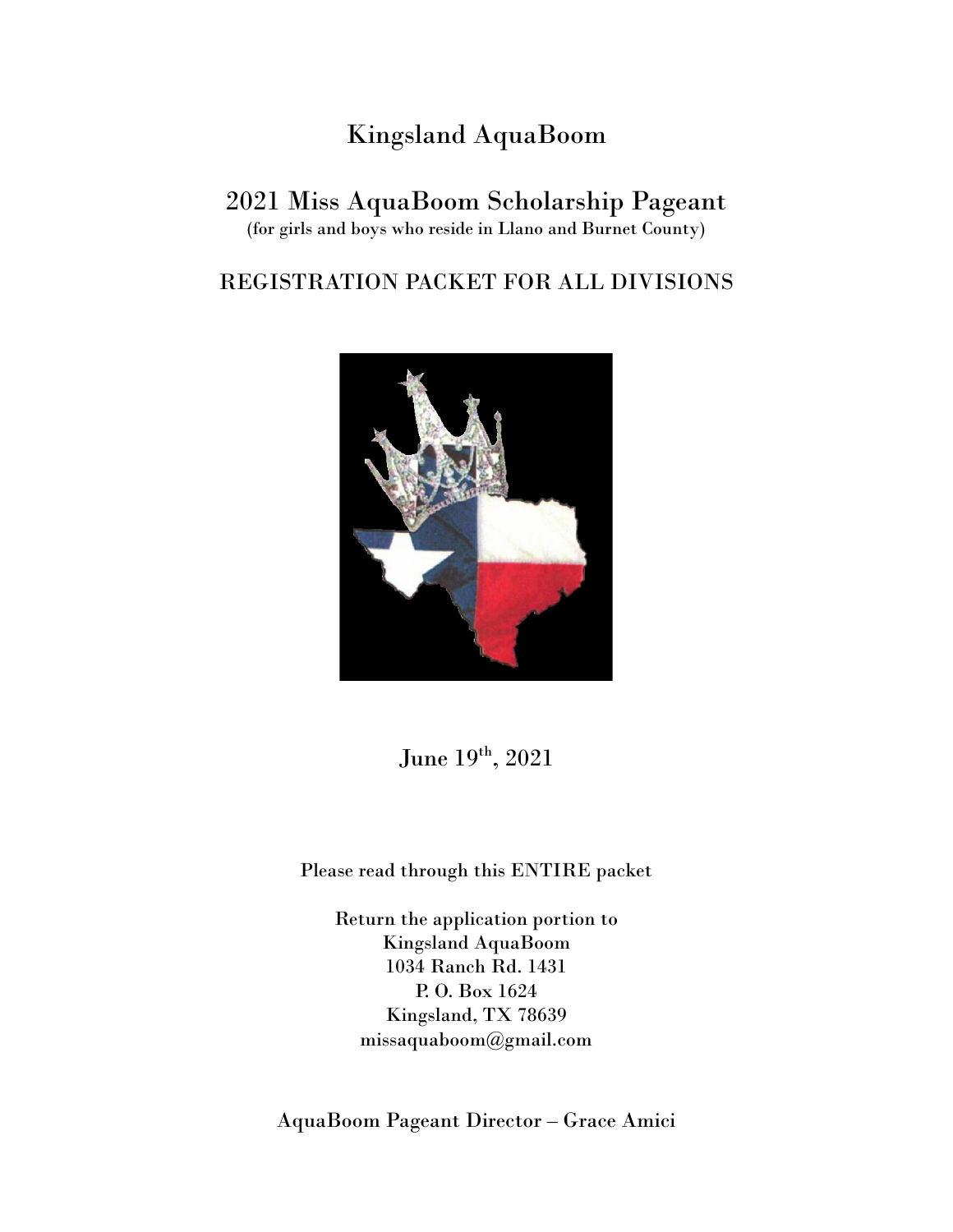# Kingsland AquaBoom

# 2021 Miss AquaBoom Scholarship Pageant

(for girls and boys who reside in Llano and Burnet County)

## REGISTRATION PACKET FOR ALL DIVISIONS



June  $19^{\text{th}}$ ,  $2021$ 

Please read through this ENTIRE packet

Return the application portion to Kingsland AquaBoom 1034 Ranch Rd. 1431 P. O. Box 1624 Kingsland, TX 78639 missaquaboom@gmail.com

AquaBoom Pageant Director – Grace Amici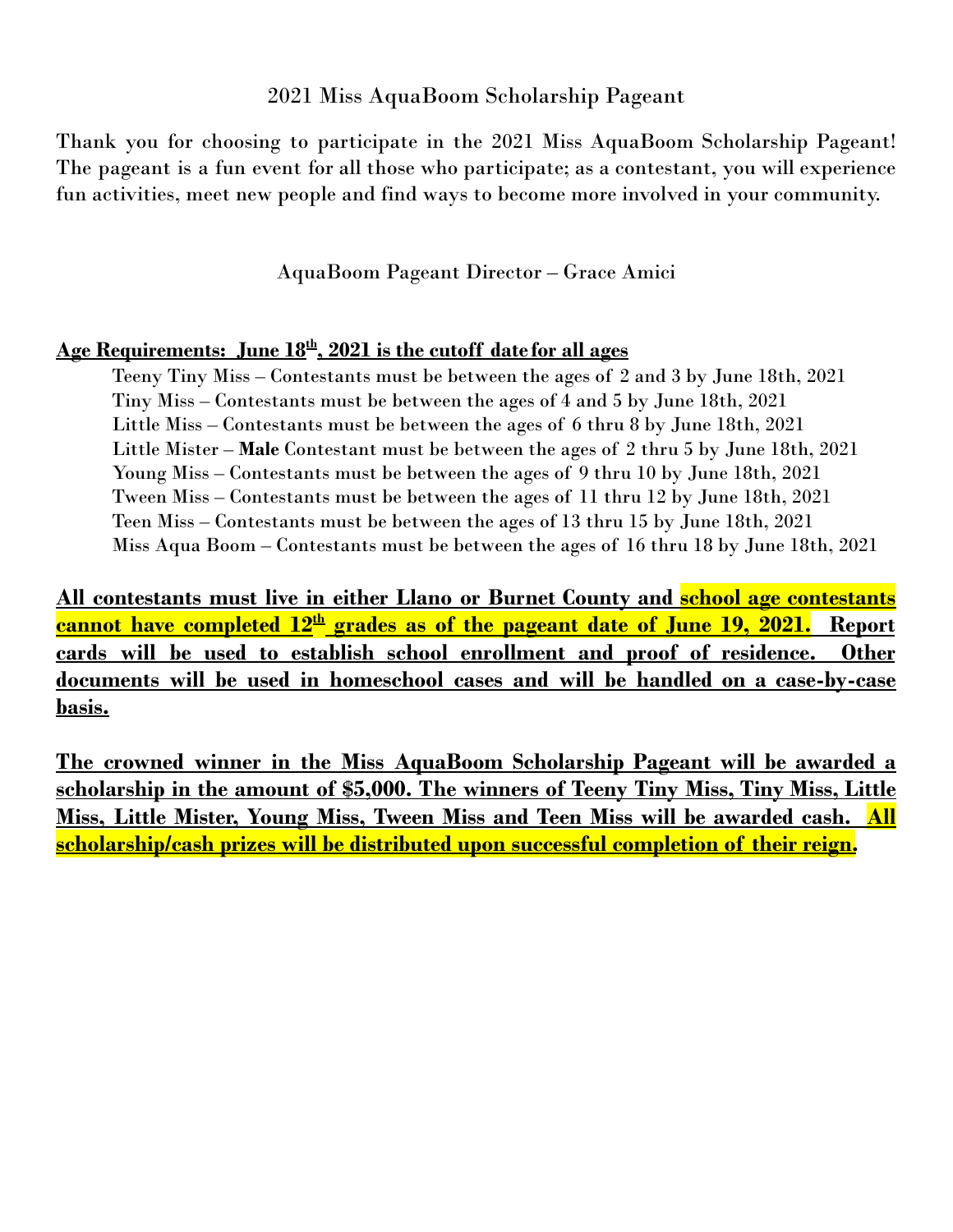## 2021 Miss AquaBoom Scholarship Pageant

Thank you for choosing to participate in the 2021 Miss AquaBoom Scholarship Pageant! The pageant is a fun event for all those who participate; as a contestant, you will experience fun activities, meet new people and find ways to become more involved in your community.

AquaBoom Pageant Director – Grace Amici

## **Age Requirements: June 18 th , 2021 is the cutoff date for all ages**

Teeny Tiny Miss – Contestants must be between the ages of 2 and 3 by June 18th, 2021 Tiny Miss – Contestants must be between the ages of 4 and 5 by June 18th, 2021 Little Miss – Contestants must be between the ages of 6 thru 8 by June 18th, 2021 Little Mister – **Male** Contestant must be between the ages of 2 thru 5 by June 18th, 2021 Young Miss – Contestants must be between the ages of 9 thru 10 by June 18th, 2021 Tween Miss – Contestants must be between the ages of 11 thru 12 by June 18th, 2021 Teen Miss – Contestants must be between the ages of 13 thru 15 by June 18th, 2021 Miss Aqua Boom – Contestants must be between the ages of 16 thru 18 by June 18th, 2021

**All contestants must live in either Llano or Burnet County and school age contestants cannot have completed 12th grades as of the pageant date of June 19, 2021. Report cards will be used to establish school enrollment and proof of residence. Other documents will be used in homeschool cases and will be handled on a case-by-case basis.**

**The crowned winner in the Miss AquaBoom Scholarship Pageant will be awarded a scholarship in the amount of \$5,000. The winners of Teeny Tiny Miss, Tiny Miss, Little Miss, Little Mister, Young Miss, Tween Miss and Teen Miss will be awarded cash. All scholarship/cash prizes will be distributed upon successful completion of their reign.**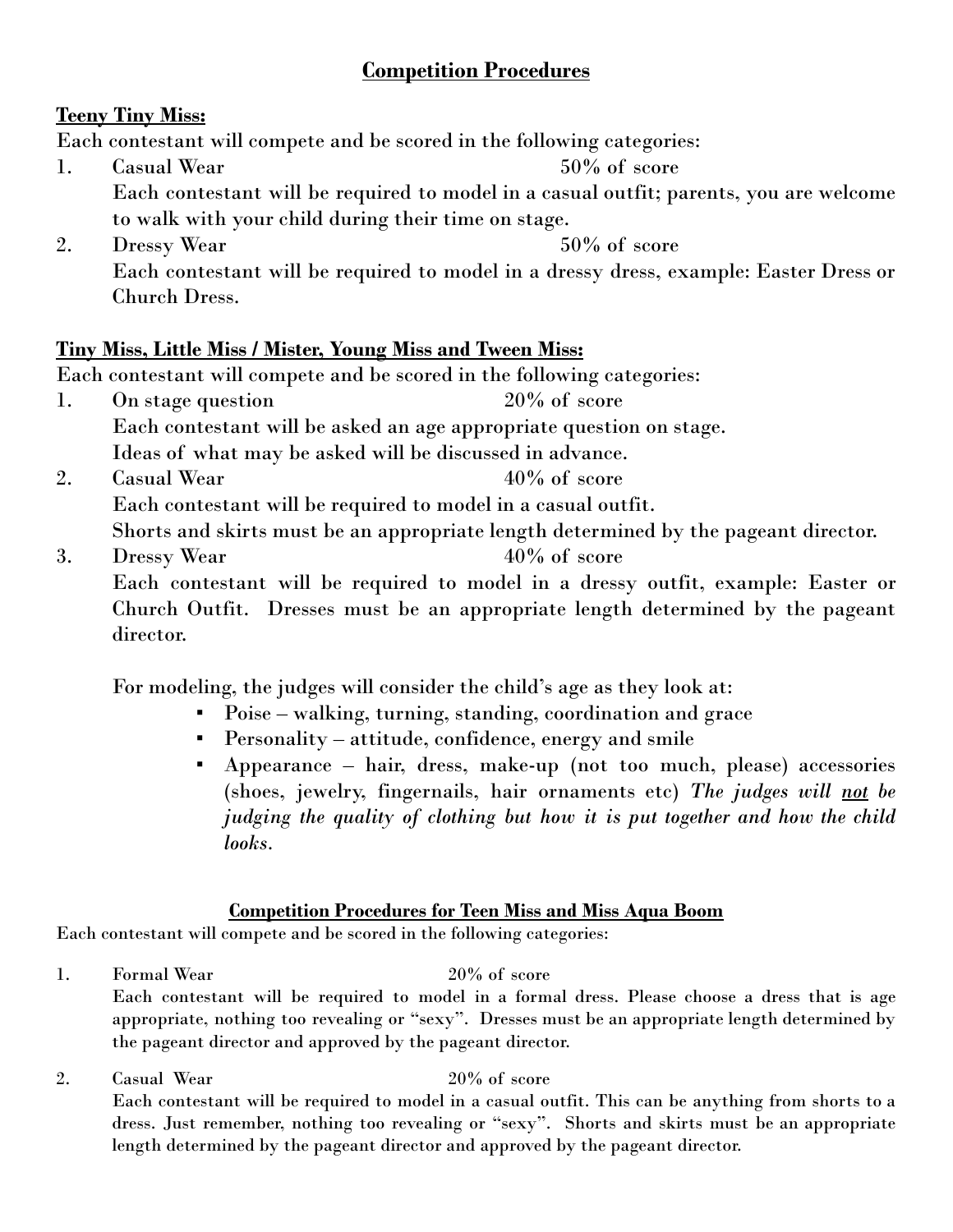# **Competition Procedures**

## **Teeny Tiny Miss:**

Each contestant will compete and be scored in the following categories:

- 1. Casual Wear 60% of score Each contestant will be required to model in a casual outfit; parents, you are welcome to walk with your child during their time on stage.
- 2. Dressy Wear  $50\%$  of score Each contestant will be required to model in a dressy dress, example: Easter Dress or Church Dress.

## **Tiny Miss, Little Miss / Mister, Young Miss and Tween Miss:**

Each contestant will compete and be scored in the following categories:

- 1. On stage question 20% of score Each contestant will be asked an age appropriate question on stage. Ideas of what may be asked will be discussed in advance.
- 2. Casual Wear  $40\%$  of score Each contestant will be required to model in a casual outfit. Shorts and skirts must be an appropriate length determined by the pageant director.
- 3. Dressy Wear  $40\%$  of score Each contestant will be required to model in a dressy outfit, example: Easter or Church Outfit. Dresses must be an appropriate length determined by the pageant director.

For modeling, the judges will consider the child's age as they look at:

- Poise walking, turning, standing, coordination and grace
- Personality attitude, confidence, energy and smile
- Appearance hair, dress, make-up (not too much, please) accessories (shoes, jewelry, fingernails, hair ornaments etc) *The judges will not be judging the quality of clothing but how it is put together and how the child looks.*

### **Competition Procedures for Teen Miss and Miss Aqua Boom**

Each contestant will compete and be scored in the following categories:

- 1. Formal Wear 20% of score Each contestant will be required to model in a formal dress. Please choose a dress that is age appropriate, nothing too revealing or "sexy". Dresses must be an appropriate length determined by the pageant director and approved by the pageant director.
- 2. Casual Wear 20% of score Each contestant will be required to model in a casual outfit. This can be anything from shorts to a dress. Just remember, nothing too revealing or "sexy". Shorts and skirts must be an appropriate length determined by the pageant director and approved by the pageant director.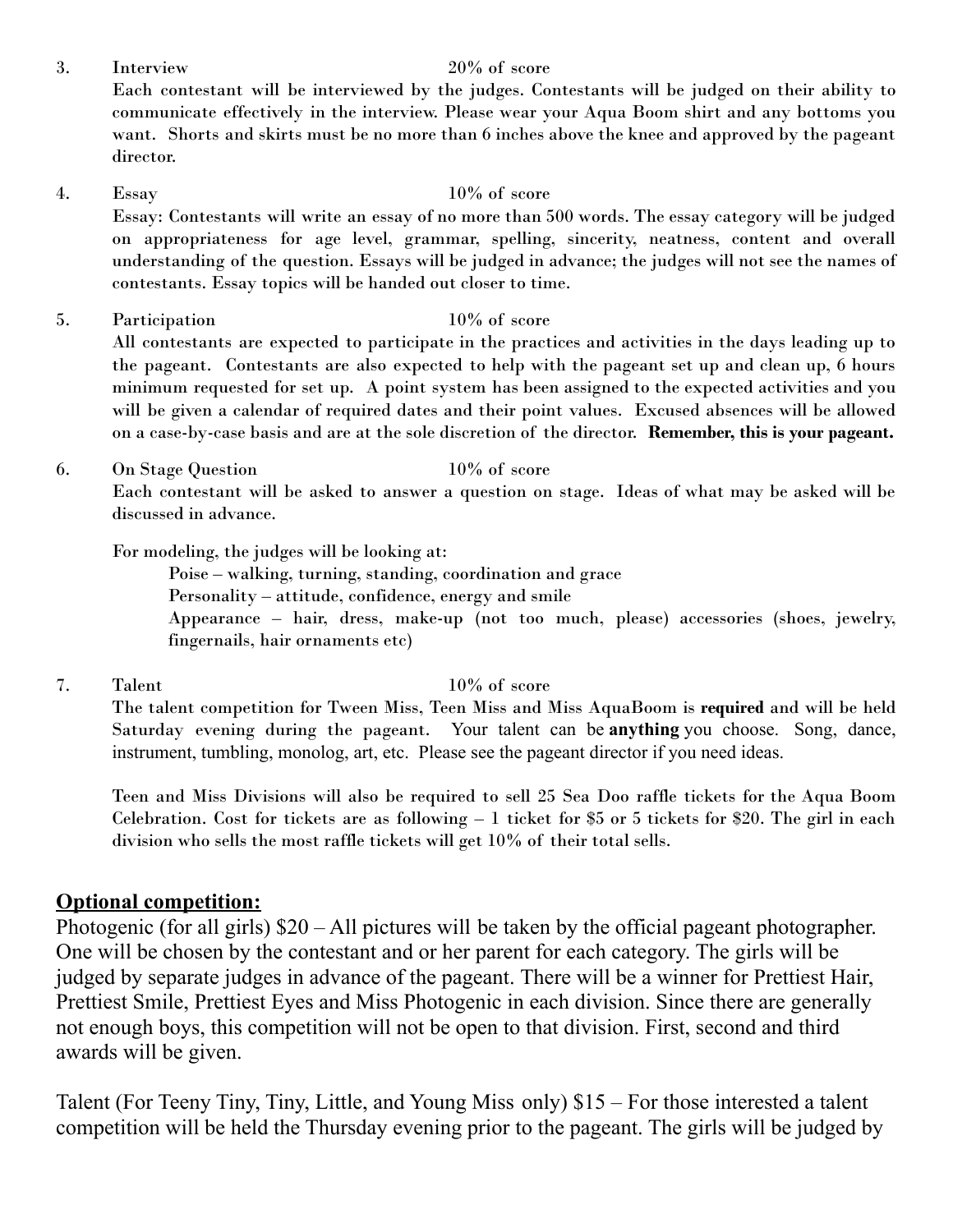3. Interview 20% of score

Each contestant will be interviewed by the judges. Contestants will be judged on their ability to communicate effectively in the interview. Please wear your Aqua Boom shirt and any bottoms you want. Shorts and skirts must be no more than 6 inches above the knee and approved by the pageant director.

4. Essay  $10\%$  of score

Essay: Contestants will write an essay of no more than 500 words. The essay category will be judged on appropriateness for age level, grammar, spelling, sincerity, neatness, content and overall understanding of the question. Essays will be judged in advance; the judges will not see the names of contestants. Essay topics will be handed out closer to time.

5. Participation 10% of score

All contestants are expected to participate in the practices and activities in the days leading up to the pageant. Contestants are also expected to help with the pageant set up and clean up, 6 hours minimum requested for set up. A point system has been assigned to the expected activities and you will be given a calendar of required dates and their point values. Excused absences will be allowed on a case-by-case basis and are at the sole discretion of the director. **Remember, this is your pageant.**

6. On Stage Question 10% of score

Each contestant will be asked to answer a question on stage. Ideas of what may be asked will be discussed in advance.

For modeling, the judges will be looking at:

Poise – walking, turning, standing, coordination and grace

Personality – attitude, confidence, energy and smile

Appearance – hair, dress, make-up (not too much, please) accessories (shoes, jewelry, fingernails, hair ornaments etc)

7. Talent  $10\%$  of score

The talent competition for Tween Miss, Teen Miss and Miss AquaBoom is **required** and will be held Saturday evening during the pageant. Your talent can be **anything** you choose. Song, dance, instrument, tumbling, monolog, art, etc. Please see the pageant director if you need ideas.

Teen and Miss Divisions will also be required to sell 25 Sea Doo raffle tickets for the Aqua Boom Celebration. Cost for tickets are as following  $-1$  ticket for \$5 or 5 tickets for \$20. The girl in each division who sells the most raffle tickets will get 10% of their total sells.

## **Optional competition:**

Photogenic (for all girls) \$20 – All pictures will be taken by the official pageant photographer. One will be chosen by the contestant and or her parent for each category. The girls will be judged by separate judges in advance of the pageant. There will be a winner for Prettiest Hair, Prettiest Smile, Prettiest Eyes and Miss Photogenic in each division. Since there are generally not enough boys, this competition will not be open to that division. First, second and third awards will be given.

Talent (For Teeny Tiny, Tiny, Little, and Young Miss only) \$15 – For those interested a talent competition will be held the Thursday evening prior to the pageant. The girls will be judged by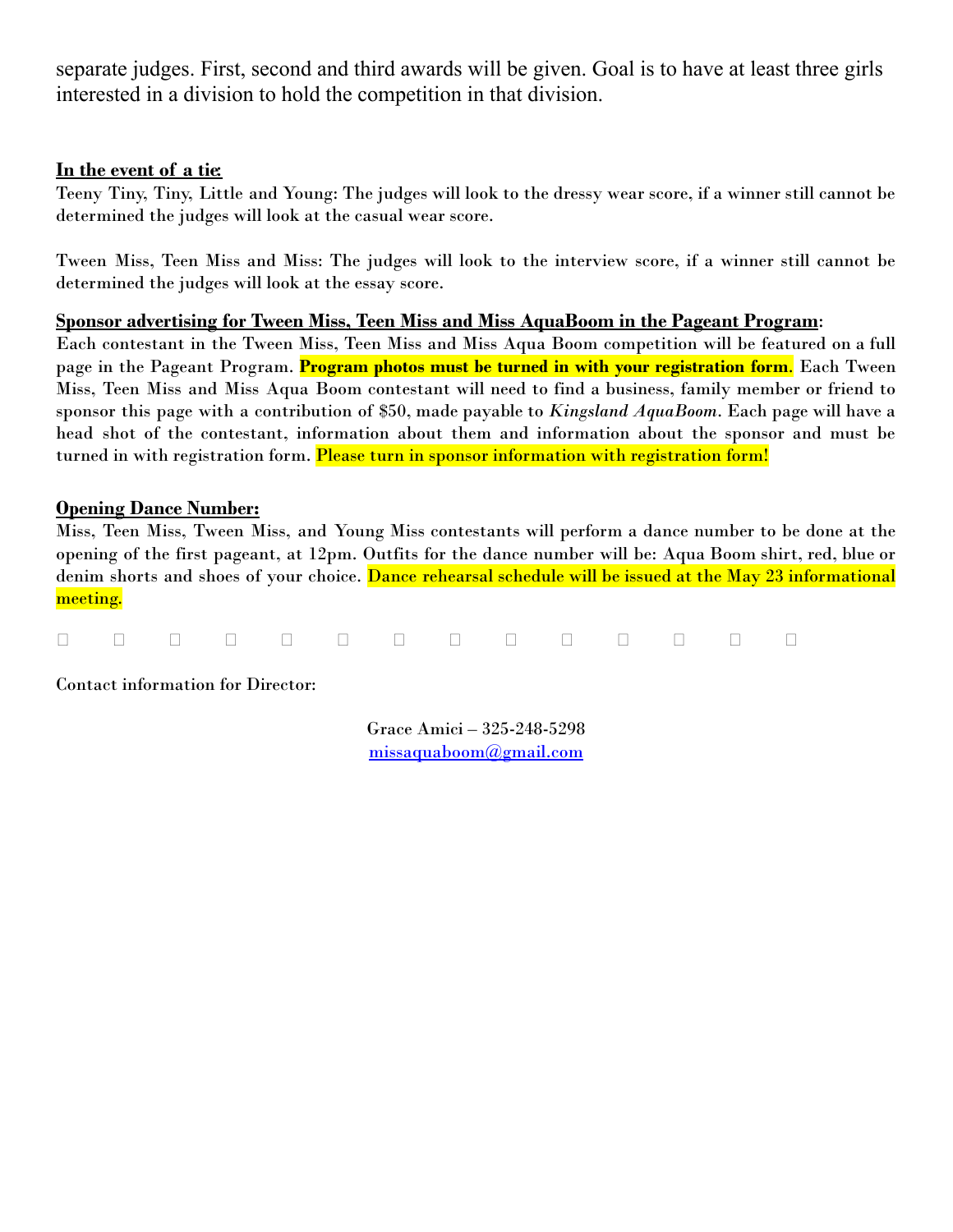separate judges. First, second and third awards will be given. Goal is to have at least three girls interested in a division to hold the competition in that division.

#### **In the event of a tie**:

Teeny Tiny, Tiny, Little and Young: The judges will look to the dressy wear score, if a winner still cannot be determined the judges will look at the casual wear score.

Tween Miss, Teen Miss and Miss: The judges will look to the interview score, if a winner still cannot be determined the judges will look at the essay score.

#### **Sponsor advertising for Tween Miss, Teen Miss and Miss AquaBoom in the Pageant Program**:

Each contestant in the Tween Miss, Teen Miss and Miss Aqua Boom competition will be featured on a full page in the Pageant Program. **Program photos must be turned in with your registration form**. Each Tween Miss, Teen Miss and Miss Aqua Boom contestant will need to find a business, family member or friend to sponsor this page with a contribution of \$50, made payable to *Kingsland AquaBoom*. Each page will have a head shot of the contestant, information about them and information about the sponsor and must be turned in with registration form. Please turn in sponsor information with registration form!

#### **Opening Dance Number:**

Miss, Teen Miss, Tween Miss, and Young Miss contestants will perform a dance number to be done at the opening of the first pageant, at 12pm. Outfits for the dance number will be: Aqua Boom shirt, red, blue or denim shorts and shoes of your choice. <mark>Dance rehearsal schedule will be issued at the May 23 informational</mark> meeting.

 $\Box$  $\Box$  $\Box$  $\Box$  $\Box$  $\Box$  $\Box$  $\Box$  $\Box$  $\Box$  $\Box$  $\Box$  $\Box$  $\Box$ 

Contact information for Director:

Grace Amici – 325-248-5298 [missaquaboom@gmail.com](mailto:missaquaboom@gmail.com)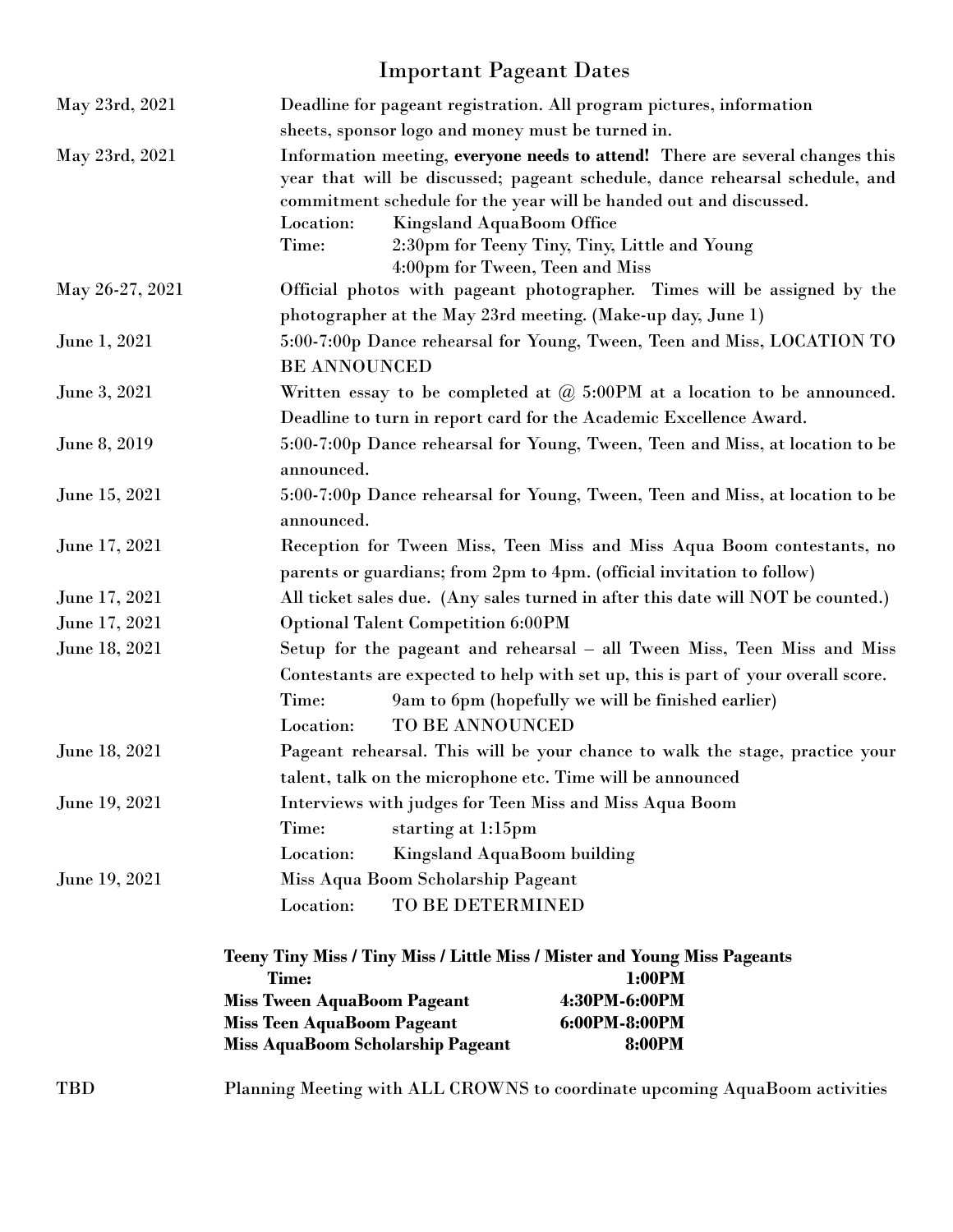# Important Pageant Dates

| May 23rd, 2021  | Deadline for pageant registration. All program pictures, information                                                                                                                                                                                                                                                                                                              |  |
|-----------------|-----------------------------------------------------------------------------------------------------------------------------------------------------------------------------------------------------------------------------------------------------------------------------------------------------------------------------------------------------------------------------------|--|
|                 | sheets, sponsor logo and money must be turned in.                                                                                                                                                                                                                                                                                                                                 |  |
| May 23rd, 2021  | Information meeting, everyone needs to attend! There are several changes this<br>year that will be discussed; pageant schedule, dance rehearsal schedule, and<br>commitment schedule for the year will be handed out and discussed.<br><b>Kingsland AquaBoom Office</b><br>Location:<br>2:30pm for Teeny Tiny, Tiny, Little and Young<br>Time:<br>4:00pm for Tween, Teen and Miss |  |
| May 26-27, 2021 | Official photos with pageant photographer. Times will be assigned by the                                                                                                                                                                                                                                                                                                          |  |
|                 | photographer at the May 23rd meeting. (Make-up day, June 1)                                                                                                                                                                                                                                                                                                                       |  |
| June 1, 2021    | 5:00-7:00p Dance rehearsal for Young, Tween, Teen and Miss, LOCATION TO<br><b>BE ANNOUNCED</b>                                                                                                                                                                                                                                                                                    |  |
| June 3, 2021    | Written essay to be completed at $@$ 5:00PM at a location to be announced.                                                                                                                                                                                                                                                                                                        |  |
|                 | Deadline to turn in report card for the Academic Excellence Award.                                                                                                                                                                                                                                                                                                                |  |
| June 8, 2019    | 5:00-7:00p Dance rehearsal for Young, Tween, Teen and Miss, at location to be<br>announced.                                                                                                                                                                                                                                                                                       |  |
| June 15, 2021   | 5:00-7:00p Dance rehearsal for Young, Tween, Teen and Miss, at location to be<br>announced.                                                                                                                                                                                                                                                                                       |  |
| June 17, 2021   | Reception for Tween Miss, Teen Miss and Miss Aqua Boom contestants, no<br>parents or guardians; from 2pm to 4pm. (official invitation to follow)                                                                                                                                                                                                                                  |  |
| June 17, 2021   | All ticket sales due. (Any sales turned in after this date will NOT be counted.)                                                                                                                                                                                                                                                                                                  |  |
| June 17, 2021   | <b>Optional Talent Competition 6:00PM</b>                                                                                                                                                                                                                                                                                                                                         |  |
| June 18, 2021   | Setup for the pageant and rehearsal - all Tween Miss, Teen Miss and Miss                                                                                                                                                                                                                                                                                                          |  |
|                 | Contestants are expected to help with set up, this is part of your overall score.                                                                                                                                                                                                                                                                                                 |  |
|                 | 9am to 6pm (hopefully we will be finished earlier)<br>Time:                                                                                                                                                                                                                                                                                                                       |  |
|                 | TO BE ANNOUNCED<br>Location:                                                                                                                                                                                                                                                                                                                                                      |  |
| June 18, 2021   | Pageant rehearsal. This will be your chance to walk the stage, practice your                                                                                                                                                                                                                                                                                                      |  |
|                 | talent, talk on the microphone etc. Time will be announced                                                                                                                                                                                                                                                                                                                        |  |
| June 19, 2021   | Interviews with judges for Teen Miss and Miss Aqua Boom                                                                                                                                                                                                                                                                                                                           |  |
|                 | Time:<br>starting at 1:15pm                                                                                                                                                                                                                                                                                                                                                       |  |
|                 | Location:<br>Kingsland AquaBoom building                                                                                                                                                                                                                                                                                                                                          |  |
| June 19, 2021   | Miss Aqua Boom Scholarship Pageant                                                                                                                                                                                                                                                                                                                                                |  |
|                 | TO BE DETERMINED<br>Location:                                                                                                                                                                                                                                                                                                                                                     |  |
|                 | Teeny Tiny Miss / Tiny Miss / Little Miss / Mister and Young Miss Pageants<br>1:00PM<br>Time:                                                                                                                                                                                                                                                                                     |  |
|                 | 4:30PM-6:00PM<br><b>Miss Tween AquaBoom Pageant</b>                                                                                                                                                                                                                                                                                                                               |  |
|                 | <b>Miss Teen AquaBoom Pageant</b><br>6:00PM-8:00PM                                                                                                                                                                                                                                                                                                                                |  |
|                 | <b>Miss AquaBoom Scholarship Pageant</b><br>8:00PM                                                                                                                                                                                                                                                                                                                                |  |
| <b>TBD</b>      | Planning Meeting with ALL CROWNS to coordinate upcoming AquaBoom activities                                                                                                                                                                                                                                                                                                       |  |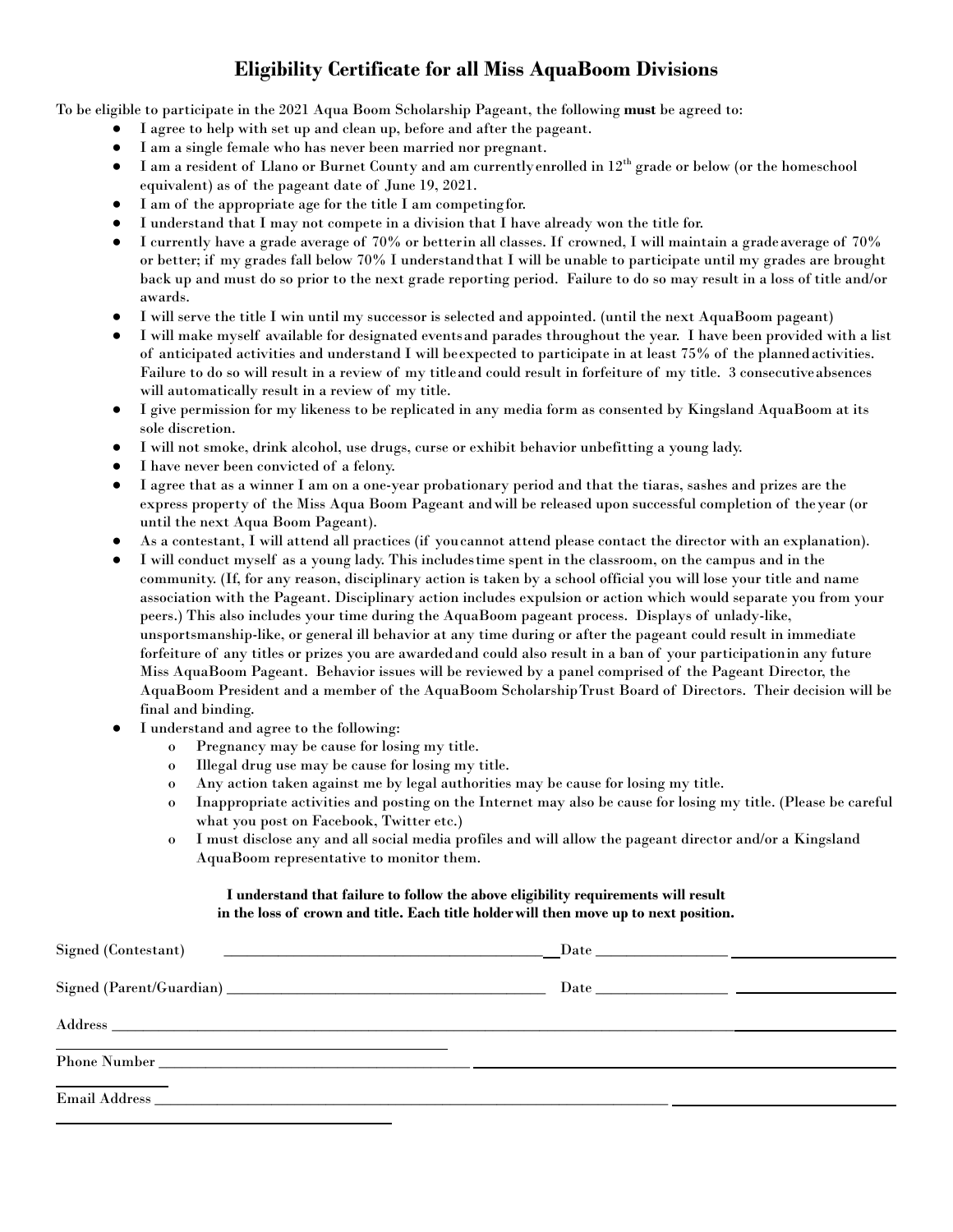## **Eligibility Certificate for all Miss AquaBoom Divisions**

To be eligible to participate in the 2021 Aqua Boom Scholarship Pageant, the following **must** be agreed to:

- I agree to help with set up and clean up, before and after the pageant.
- I am a single female who has never been married nor pregnant.
- I am a resident of Llano or Burnet County and am currentlyenrolled in 12 th grade or below (or the homeschool equivalent) as of the pageant date of June 19, 2021.
- I am of the appropriate age for the title I am competingfor.
- I understand that I may not compete in a division that I have already won the title for.
- I currently have a grade average of 70% or betterin all classes. If crowned, I will maintain a gradeaverage of 70% or better; if my grades fall below 70% I understandthat I will be unable to participate until my grades are brought back up and must do so prior to the next grade reporting period. Failure to do so may result in a loss of title and/or awards.
- I will serve the title I win until my successor is selected and appointed. (until the next AquaBoom pageant)
- I will make myself available for designated events and parades throughout the year. I have been provided with a list of anticipated activities and understand I will beexpected to participate in at least 75% of the plannedactivities. Failure to do so will result in a review of my titleand could result in forfeiture of my title. 3 consecutiveabsences will automatically result in a review of my title.
- I give permission for my likeness to be replicated in any media form as consented by Kingsland AquaBoom at its sole discretion.
- I will not smoke, drink alcohol, use drugs, curse or exhibit behavior unbefitting a young lady.
- I have never been convicted of a felony.
- I agree that as a winner I am on a one-year probationary period and that the tiaras, sashes and prizes are the express property of the Miss Aqua Boom Pageant andwill be released upon successful completion of theyear (or until the next Aqua Boom Pageant).
- As a contestant, I will attend all practices (if you cannot attend please contact the director with an explanation).
- I will conduct myself as a young lady. This includestime spent in the classroom, on the campus and in the community. (If, for any reason, disciplinary action is taken by a school official you will lose your title and name association with the Pageant. Disciplinary action includes expulsion or action which would separate you from your peers.) This also includes your time during the AquaBoom pageant process. Displays of unlady-like, unsportsmanship-like, or general ill behavior at any time during or after the pageant could result in immediate forfeiture of any titles or prizes you are awardedand could also result in a ban of your participationin any future Miss AquaBoom Pageant. Behavior issues will be reviewed by a panel comprised of the Pageant Director, the AquaBoom President and a member of the AquaBoom ScholarshipTrust Board of Directors. Their decision will be final and binding.
- I understand and agree to the following:
	- o Pregnancy may be cause for losing my title.
	- o Illegal drug use may be cause for losing my title.
	- o Any action taken against me by legal authorities may be cause for losing my title.
	- o Inappropriate activities and posting on the Internet may also be cause for losing my title. (Please be careful what you post on Facebook, Twitter etc.)
	- o I must disclose any and all social media profiles and will allow the pageant director and/or a Kingsland AquaBoom representative to monitor them.

#### **I understand that failure to follow the above eligibility requirements will result in the loss of crown and title. Each title holderwill then move up to next position.**

| Address |  |
|---------|--|
|         |  |
|         |  |
|         |  |
|         |  |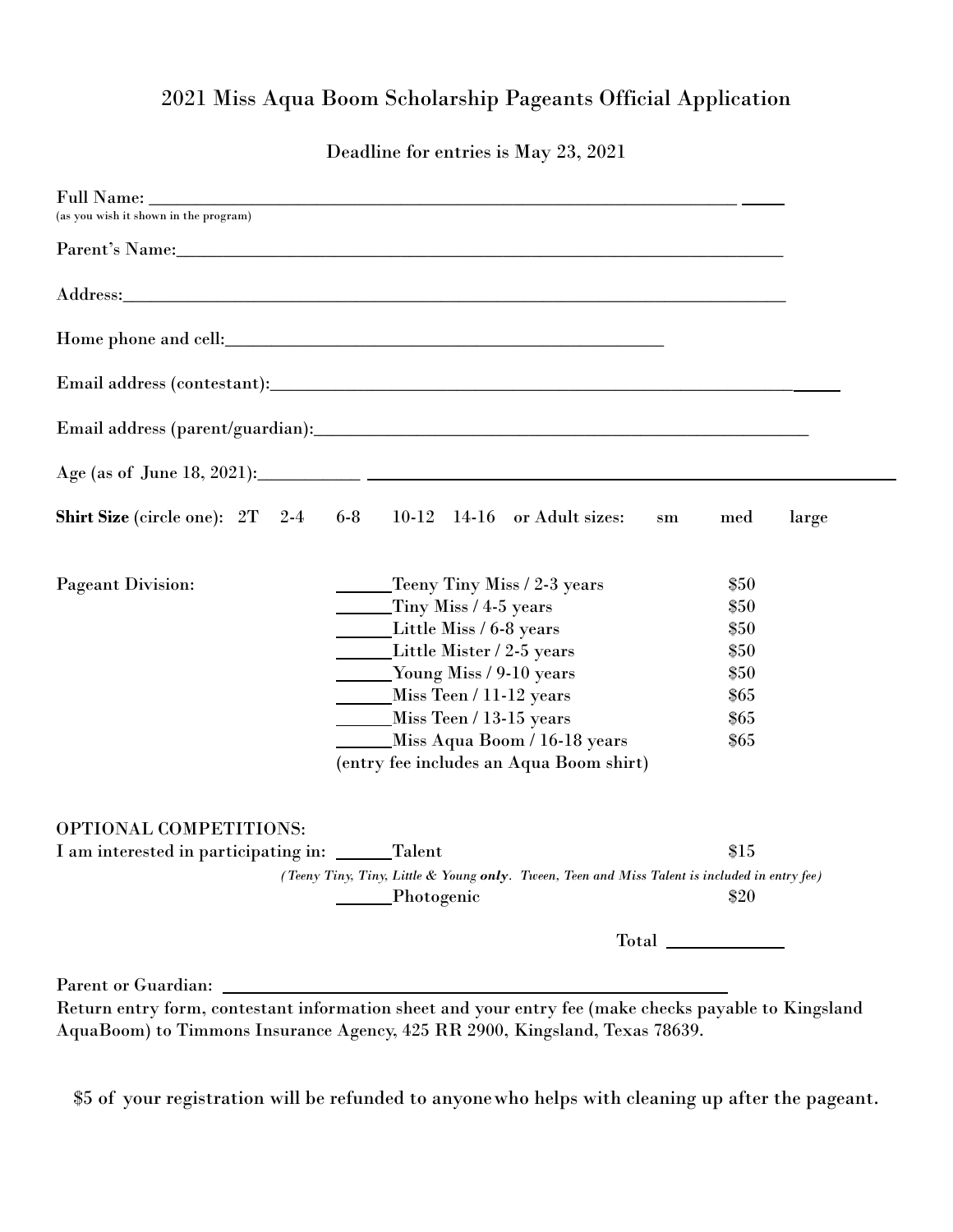# 2021 Miss Aqua Boom Scholarship Pageants Official Application

Deadline for entries is May 23, 2021

| (as you wish it shown in the program)            |                                                                                                                                                                                     |                                      |
|--------------------------------------------------|-------------------------------------------------------------------------------------------------------------------------------------------------------------------------------------|--------------------------------------|
|                                                  |                                                                                                                                                                                     |                                      |
|                                                  |                                                                                                                                                                                     |                                      |
|                                                  |                                                                                                                                                                                     |                                      |
|                                                  |                                                                                                                                                                                     |                                      |
|                                                  |                                                                                                                                                                                     |                                      |
|                                                  |                                                                                                                                                                                     |                                      |
|                                                  | Shirt Size (circle one): 2T 2-4 6-8 10-12 14-16 or Adult sizes:                                                                                                                     | med<br>large<br>sm                   |
| <b>Pageant Division:</b>                         | Teeny Tiny Miss / 2-3 years<br>Tiny Miss / 4-5 years<br>Little Miss / 6-8 years<br>Little Mister / 2-5 years<br><b>Example 10 Young Miss / 9-10 years</b>                           | \$50<br>\$50<br>\$50<br>\$50<br>\$50 |
|                                                  | Miss Teen / 11-12 years<br>Miss Teen / 13-15 years<br>Miss Aqua Boom / 16-18 years<br>(entry fee includes an Aqua Boom shirt)                                                       | \$65<br>\$65<br>\$65                 |
| OPTIONAL COMPETITIONS:                           |                                                                                                                                                                                     |                                      |
| I am interested in participating in: _____Talent |                                                                                                                                                                                     | \$15                                 |
|                                                  | (Teeny Tiny, Tiny, Little & Young only. Tween, Teen and Miss Talent is included in entry fee)                                                                                       |                                      |
|                                                  | Photogenic                                                                                                                                                                          | \$20                                 |
|                                                  |                                                                                                                                                                                     |                                      |
| <b>Parent or Guardian:</b>                       | Return entry form, contestant information sheet and your entry fee (make checks payable to Kingsland<br>AquaBoom) to Timmons Insurance Agency, 425 RR 2900, Kingsland, Texas 78639. |                                      |

\$5 of your registration will be refunded to anyonewho helps with cleaning up after the pageant.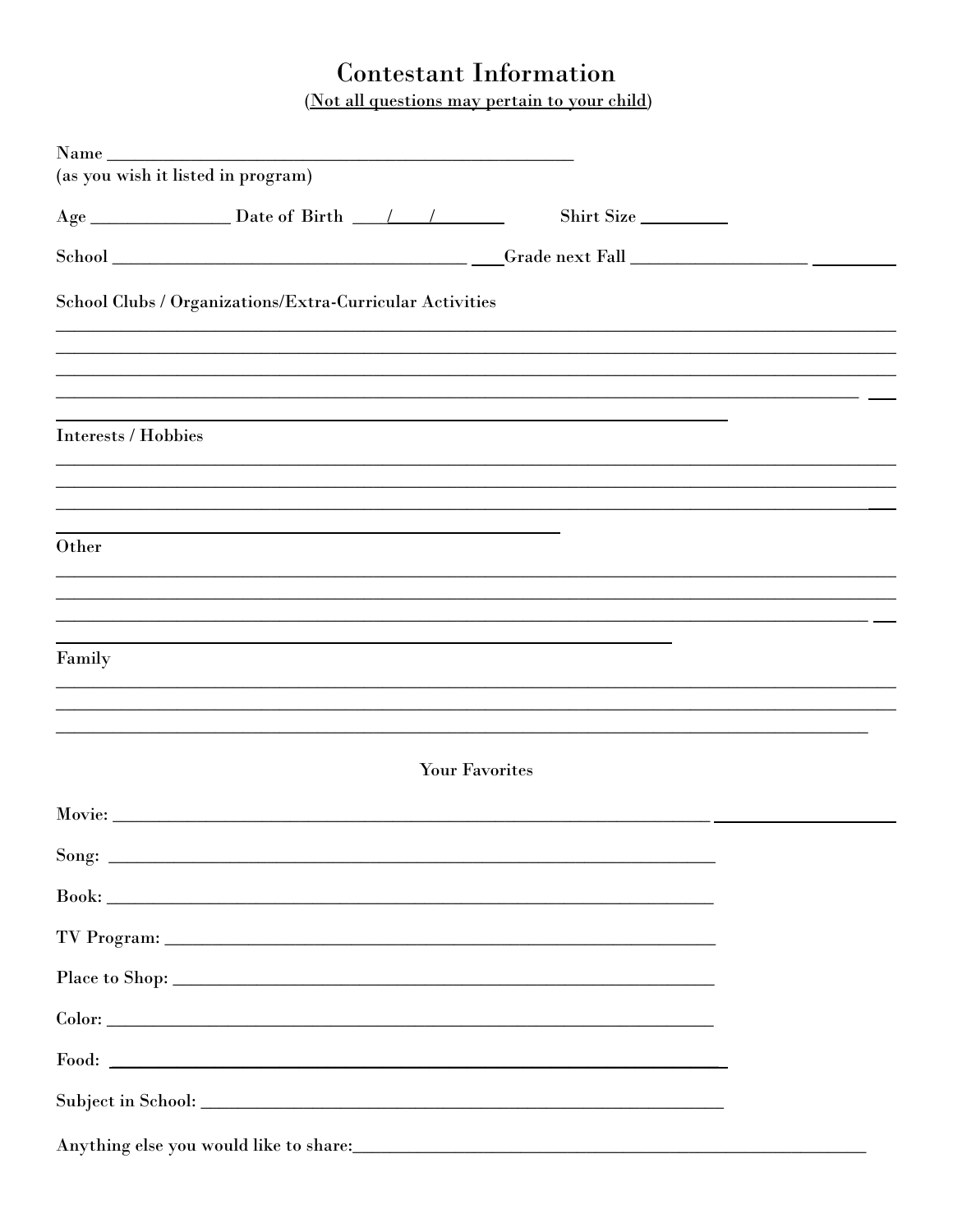# **Contestant Information**

(Not all questions may pertain to your child)

| (as you wish it listed in program)                       |  |
|----------------------------------------------------------|--|
| Shirt Size                                               |  |
|                                                          |  |
| School Clubs / Organizations/Extra-Curricular Activities |  |
|                                                          |  |
|                                                          |  |
| Interests / Hobbies                                      |  |
|                                                          |  |
|                                                          |  |
| Other                                                    |  |
|                                                          |  |
|                                                          |  |
| Family                                                   |  |
|                                                          |  |
|                                                          |  |
| <b>Your Favorites</b>                                    |  |
|                                                          |  |
|                                                          |  |
|                                                          |  |
|                                                          |  |
|                                                          |  |
|                                                          |  |
|                                                          |  |
|                                                          |  |
| Anything else you would like to share:                   |  |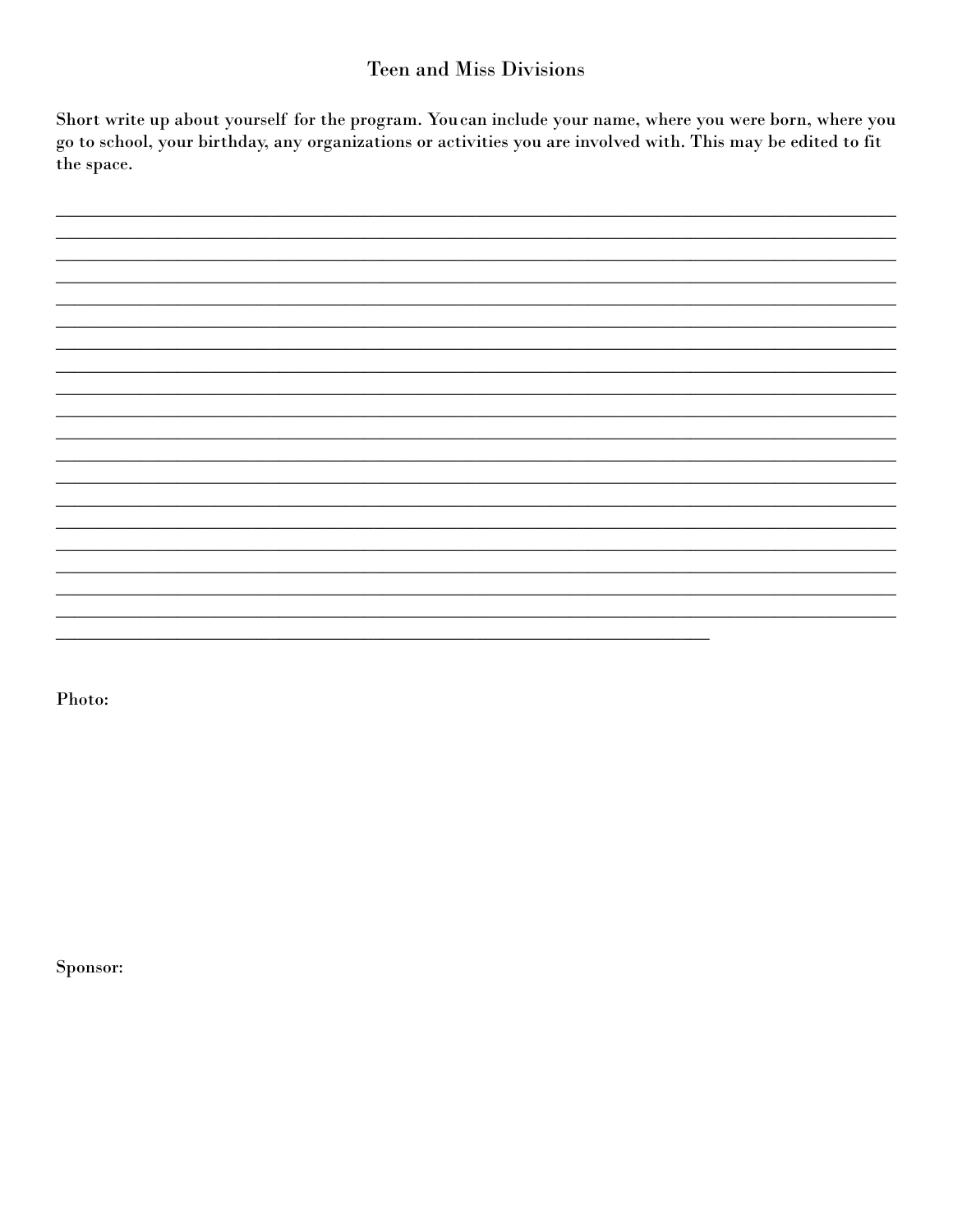### **Teen and Miss Divisions**

Short write up about yourself for the program. You can include your name, where you were born, where you go to school, your birthday, any organizations or activities you are involved with. This may be edited to fit the space.

Photo:

Sponsor: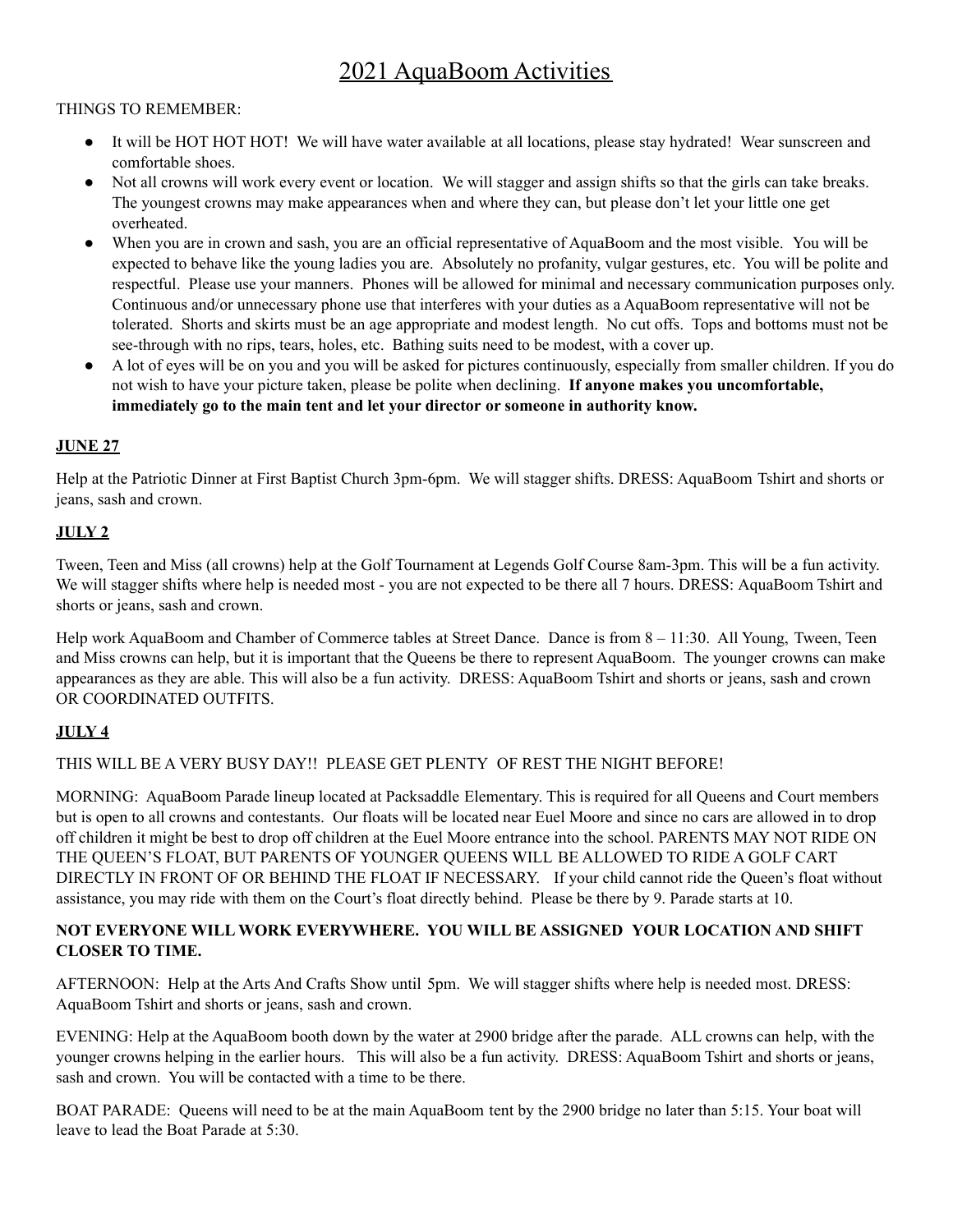# 2021 AquaBoom Activities

#### THINGS TO REMEMBER:

- It will be HOT HOT HOT! We will have water available at all locations, please stay hydrated! Wear sunscreen and comfortable shoes.
- Not all crowns will work every event or location. We will stagger and assign shifts so that the girls can take breaks. The youngest crowns may make appearances when and where they can, but please don't let your little one get overheated.
- When you are in crown and sash, you are an official representative of AquaBoom and the most visible. You will be expected to behave like the young ladies you are. Absolutely no profanity, vulgar gestures, etc. You will be polite and respectful. Please use your manners. Phones will be allowed for minimal and necessary communication purposes only. Continuous and/or unnecessary phone use that interferes with your duties as a AquaBoom representative will not be tolerated. Shorts and skirts must be an age appropriate and modest length. No cut offs. Tops and bottoms must not be see-through with no rips, tears, holes, etc. Bathing suits need to be modest, with a cover up.
- A lot of eyes will be on you and you will be asked for pictures continuously, especially from smaller children. If you do not wish to have your picture taken, please be polite when declining. **If anyone makes you uncomfortable, immediately go to the main tent and let your director or someone in authority know.**

#### **JUNE 27**

Help at the Patriotic Dinner at First Baptist Church 3pm-6pm. We will stagger shifts. DRESS: AquaBoom Tshirt and shorts or jeans, sash and crown.

#### **JULY 2**

Tween, Teen and Miss (all crowns) help at the Golf Tournament at Legends Golf Course 8am-3pm. This will be a fun activity. We will stagger shifts where help is needed most - you are not expected to be there all 7 hours. DRESS: AquaBoom Tshirt and shorts or jeans, sash and crown.

Help work AquaBoom and Chamber of Commerce tables at Street Dance. Dance is from 8 – 11:30. All Young, Tween, Teen and Miss crowns can help, but it is important that the Queens be there to represent AquaBoom. The younger crowns can make appearances as they are able. This will also be a fun activity. DRESS: AquaBoom Tshirt and shorts or jeans, sash and crown OR COORDINATED OUTFITS.

#### **JULY 4**

THIS WILL BE A VERY BUSY DAY!! PLEASE GET PLENTY OF REST THE NIGHT BEFORE!

MORNING: AquaBoom Parade lineup located at Packsaddle Elementary. This is required for all Queens and Court members but is open to all crowns and contestants. Our floats will be located near Euel Moore and since no cars are allowed in to drop off children it might be best to drop off children at the Euel Moore entrance into the school. PARENTS MAY NOT RIDE ON THE QUEEN'S FLOAT, BUT PARENTS OF YOUNGER QUEENS WILL BE ALLOWED TO RIDE A GOLF CART DIRECTLY IN FRONT OF OR BEHIND THE FLOAT IF NECESSARY. If your child cannot ride the Queen's float without assistance, you may ride with them on the Court's float directly behind. Please be there by 9. Parade starts at 10.

#### **NOT EVERYONE WILL WORK EVERYWHERE. YOU WILL BE ASSIGNED YOUR LOCATION AND SHIFT CLOSER TO TIME.**

AFTERNOON: Help at the Arts And Crafts Show until 5pm. We will stagger shifts where help is needed most. DRESS: AquaBoom Tshirt and shorts or jeans, sash and crown.

EVENING: Help at the AquaBoom booth down by the water at 2900 bridge after the parade. ALL crowns can help, with the younger crowns helping in the earlier hours. This will also be a fun activity. DRESS: AquaBoom Tshirt and shorts or jeans, sash and crown. You will be contacted with a time to be there.

BOAT PARADE: Queens will need to be at the main AquaBoom tent by the 2900 bridge no later than 5:15. Your boat will leave to lead the Boat Parade at 5:30.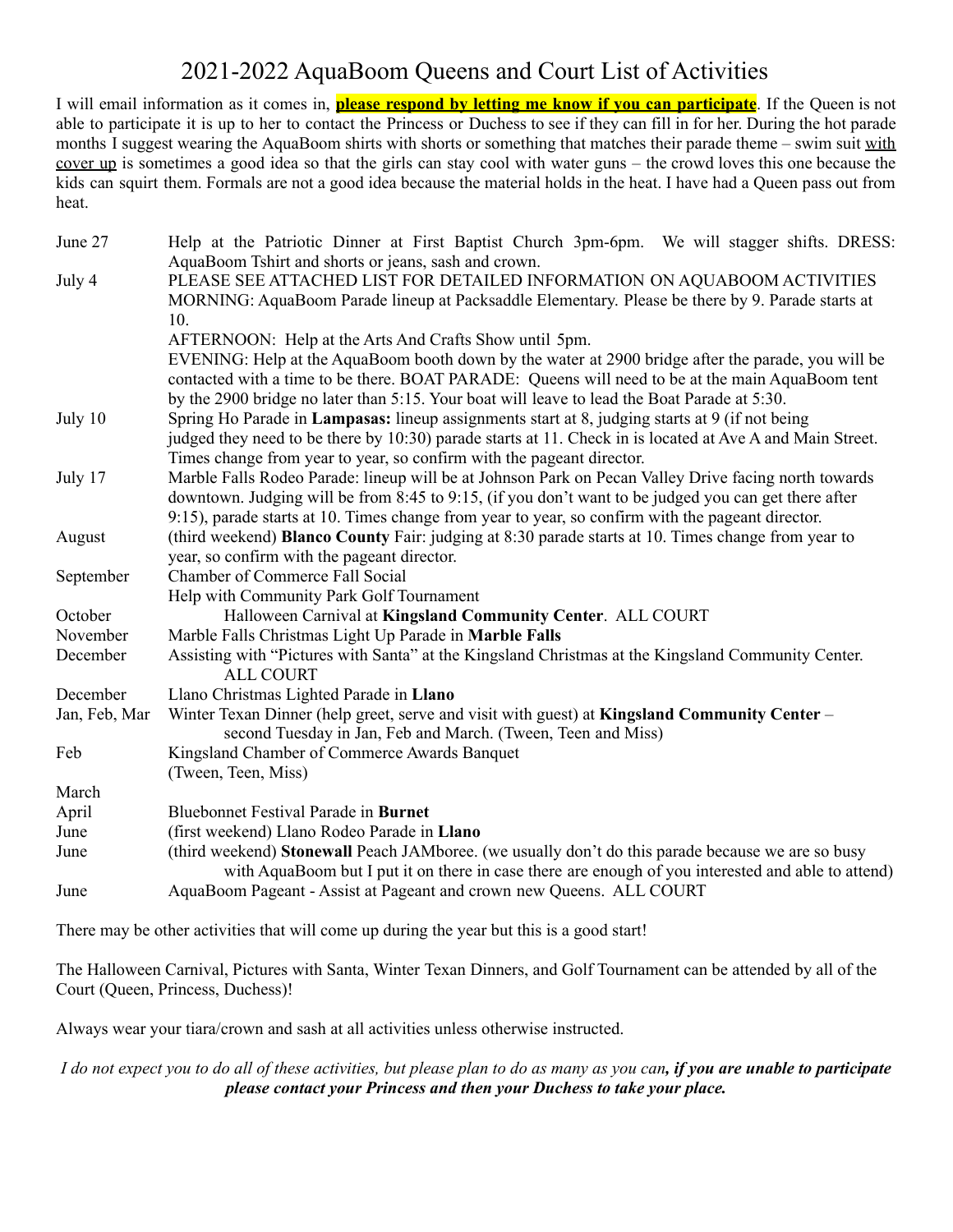# 2021-2022 AquaBoom Queens and Court List of Activities

I will email information as it comes in, **please respond by letting me know if you can participate**. If the Queen is not able to participate it is up to her to contact the Princess or Duchess to see if they can fill in for her. During the hot parade months I suggest wearing the AquaBoom shirts with shorts or something that matches their parade theme – swim suit with cover up is sometimes a good idea so that the girls can stay cool with water guns – the crowd loves this one because the kids can squirt them. Formals are not a good idea because the material holds in the heat. I have had a Queen pass out from heat.

| June 27       | Help at the Patriotic Dinner at First Baptist Church 3pm-6pm. We will stagger shifts. DRESS:                                                                                                            |
|---------------|---------------------------------------------------------------------------------------------------------------------------------------------------------------------------------------------------------|
|               | AquaBoom Tshirt and shorts or jeans, sash and crown.                                                                                                                                                    |
| July 4        | PLEASE SEE ATTACHED LIST FOR DETAILED INFORMATION ON AQUABOOM ACTIVITIES                                                                                                                                |
|               | MORNING: AquaBoom Parade lineup at Packsaddle Elementary. Please be there by 9. Parade starts at<br>10.                                                                                                 |
|               |                                                                                                                                                                                                         |
|               | AFTERNOON: Help at the Arts And Crafts Show until 5pm.<br>EVENING: Help at the AquaBoom booth down by the water at 2900 bridge after the parade, you will be                                            |
|               | contacted with a time to be there. BOAT PARADE: Queens will need to be at the main AquaBoom tent                                                                                                        |
|               | by the 2900 bridge no later than 5:15. Your boat will leave to lead the Boat Parade at 5:30.                                                                                                            |
| July 10       | Spring Ho Parade in Lampasas: lineup assignments start at 8, judging starts at 9 (if not being                                                                                                          |
|               | judged they need to be there by 10:30) parade starts at 11. Check in is located at Ave A and Main Street.                                                                                               |
|               | Times change from year to year, so confirm with the pageant director.                                                                                                                                   |
| July 17       | Marble Falls Rodeo Parade: lineup will be at Johnson Park on Pecan Valley Drive facing north towards                                                                                                    |
|               | downtown. Judging will be from 8:45 to 9:15, (if you don't want to be judged you can get there after                                                                                                    |
|               | 9:15), parade starts at 10. Times change from year to year, so confirm with the pageant director.                                                                                                       |
| August        | (third weekend) Blanco County Fair: judging at 8:30 parade starts at 10. Times change from year to                                                                                                      |
|               | year, so confirm with the pageant director.                                                                                                                                                             |
| September     | Chamber of Commerce Fall Social                                                                                                                                                                         |
|               | Help with Community Park Golf Tournament                                                                                                                                                                |
| October       | Halloween Carnival at Kingsland Community Center. ALL COURT                                                                                                                                             |
| November      | Marble Falls Christmas Light Up Parade in Marble Falls                                                                                                                                                  |
| December      | Assisting with "Pictures with Santa" at the Kingsland Christmas at the Kingsland Community Center.<br><b>ALL COURT</b>                                                                                  |
| December      | Llano Christmas Lighted Parade in Llano                                                                                                                                                                 |
| Jan, Feb, Mar | Winter Texan Dinner (help greet, serve and visit with guest) at <b>Kingsland Community Center</b> –                                                                                                     |
|               | second Tuesday in Jan, Feb and March. (Tween, Teen and Miss)                                                                                                                                            |
| Feb           | Kingsland Chamber of Commerce Awards Banquet                                                                                                                                                            |
|               | (Tween, Teen, Miss)                                                                                                                                                                                     |
| March         |                                                                                                                                                                                                         |
| April         | <b>Bluebonnet Festival Parade in Burnet</b>                                                                                                                                                             |
| June          | (first weekend) Llano Rodeo Parade in Llano                                                                                                                                                             |
| June          | (third weekend) Stonewall Peach JAMboree. (we usually don't do this parade because we are so busy<br>with AquaBoom but I put it on there in case there are enough of you interested and able to attend) |
| June          | AquaBoom Pageant - Assist at Pageant and crown new Queens. ALL COURT                                                                                                                                    |
|               |                                                                                                                                                                                                         |

There may be other activities that will come up during the year but this is a good start!

The Halloween Carnival, Pictures with Santa, Winter Texan Dinners, and Golf Tournament can be attended by all of the Court (Queen, Princess, Duchess)!

Always wear your tiara/crown and sash at all activities unless otherwise instructed.

I do not expect you to do all of these activities, but please plan to do as many as you can, if you are unable to participate *please contact your Princess and then your Duchess to take your place.*